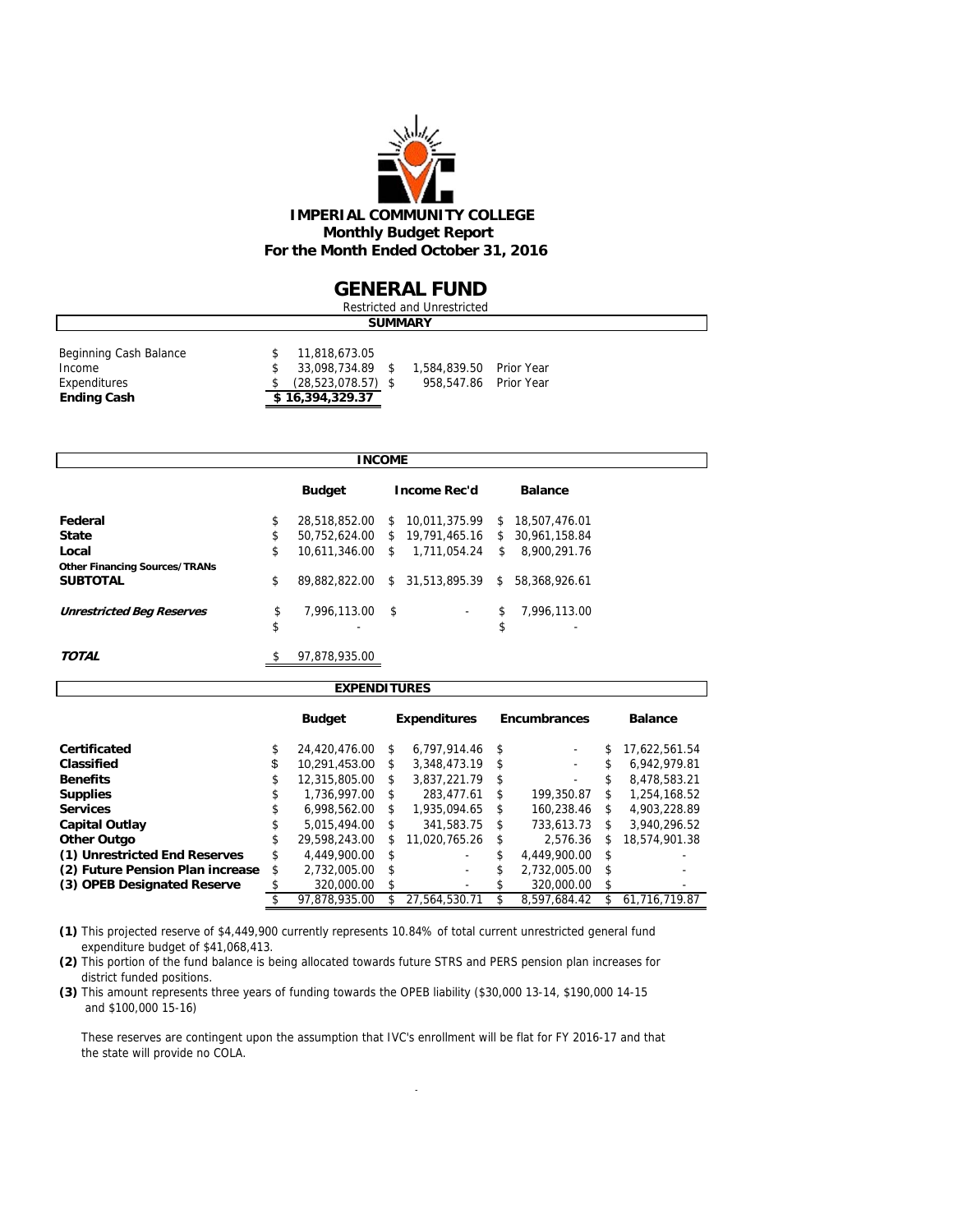

#### **GENERAL FUND**

| Restricted and Unrestricted |  |                        |  |                         |  |  |  |  |  |
|-----------------------------|--|------------------------|--|-------------------------|--|--|--|--|--|
|                             |  |                        |  | <b>SUMMARY</b>          |  |  |  |  |  |
| Beginning Cash Balance      |  | 11,818,673.05          |  |                         |  |  |  |  |  |
| Income                      |  | 33,098,734.89 \$       |  | 1,584,839.50 Prior Year |  |  |  |  |  |
| Expenditures                |  | $(28, 523, 078.57)$ \$ |  | 958,547.86 Prior Year   |  |  |  |  |  |
| <b>Ending Cash</b>          |  | \$16,394,329.37        |  |                         |  |  |  |  |  |
|                             |  |                        |  |                         |  |  |  |  |  |

| <b>INCOME</b>                        |    |                  |    |                                |    |                 |  |  |  |
|--------------------------------------|----|------------------|----|--------------------------------|----|-----------------|--|--|--|
|                                      |    | <b>Budget</b>    |    | <b>Income Rec'd</b>            |    | <b>Balance</b>  |  |  |  |
| Federal                              | \$ | 28,518,852.00    |    | \$10.011.375.99                |    | \$18.507.476.01 |  |  |  |
| <b>State</b>                         | \$ |                  |    | 50,752,624.00 \$ 19,791,465.16 |    | \$30,961,158.84 |  |  |  |
| Local                                | \$ | 10,611,346.00 \$ |    | 1,711,054.24                   | S. | 8,900,291.76    |  |  |  |
| <b>Other Financing Sources/TRANs</b> |    |                  |    |                                |    |                 |  |  |  |
| <b>SUBTOTAL</b>                      | \$ | 89.882.822.00    | \$ | 31.513.895.39                  | \$ | 58.368.926.61   |  |  |  |
| <b>Unrestricted Beg Reserves</b>     | \$ | 7,996,113.00 \$  |    | $\overline{\phantom{a}}$       | \$ | 7,996,113.00    |  |  |  |
|                                      | \$ |                  |    |                                | \$ | -               |  |  |  |
| <b>TOTAL</b>                         | \$ | 97,878,935.00    |    |                                |    |                 |  |  |  |

| <b>EXPENDITURES</b>              |    |               |    |                     |      |                     |     |                |  |  |  |  |
|----------------------------------|----|---------------|----|---------------------|------|---------------------|-----|----------------|--|--|--|--|
|                                  |    | <b>Budget</b> |    | <b>Expenditures</b> |      | <b>Encumbrances</b> |     | <b>Balance</b> |  |  |  |  |
| Certificated                     | \$ | 24.420.476.00 | \$ | 6.797.914.46        | -\$  |                     | \$  | 17.622.561.54  |  |  |  |  |
| Classified                       | \$ | 10,291,453.00 | \$ | 3,348,473.19        | -\$  | ۰                   | \$  | 6.942.979.81   |  |  |  |  |
| <b>Benefits</b>                  | \$ | 12.315.805.00 | \$ | 3.837.221.79        | - \$ |                     | \$  | 8.478.583.21   |  |  |  |  |
| <b>Supplies</b>                  | \$ | 1.736.997.00  | \$ | 283.477.61          | \$   | 199.350.87          | \$  | 1.254.168.52   |  |  |  |  |
| <b>Services</b>                  | S  | 6.998.562.00  | \$ | 1.935.094.65        | S    | 160,238.46          | \$  | 4.903.228.89   |  |  |  |  |
| <b>Capital Outlay</b>            | \$ | 5.015.494.00  | \$ | 341.583.75          | \$   | 733,613.73          | \$  | 3.940.296.52   |  |  |  |  |
| Other Outgo                      | \$ | 29.598.243.00 | \$ | 11.020.765.26       | \$   | 2.576.36            | \$  | 18.574.901.38  |  |  |  |  |
| (1) Unrestricted End Reserves    | \$ | 4.449.900.00  | \$ |                     | \$   | 4.449.900.00        | \$  |                |  |  |  |  |
| (2) Future Pension Plan increase | \$ | 2.732.005.00  | \$ | ٠                   | \$   | 2.732.005.00        | \$  |                |  |  |  |  |
| (3) OPEB Designated Reserve      |    | 320,000.00    | \$ | ٠                   | S.   | 320,000.00          | \$  |                |  |  |  |  |
|                                  |    | 97.878.935.00 | \$ | 27.564.530.71       |      | 8.597.684.42        | \$. | 61.716.719.87  |  |  |  |  |

**(1)** This projected reserve of \$4,449,900 currently represents 10.84% of total current unrestricted general fund expenditure budget of \$41,068,413.

**(2)** This portion of the fund balance is being allocated towards future STRS and PERS pension plan increases for district funded positions.

**(3)** This amount represents three years of funding towards the OPEB liability (\$30,000 13-14, \$190,000 14-15 and \$100,000 15-16)

 These reserves are contingent upon the assumption that IVC's enrollment will be flat for FY 2016-17 and that the state will provide no COLA.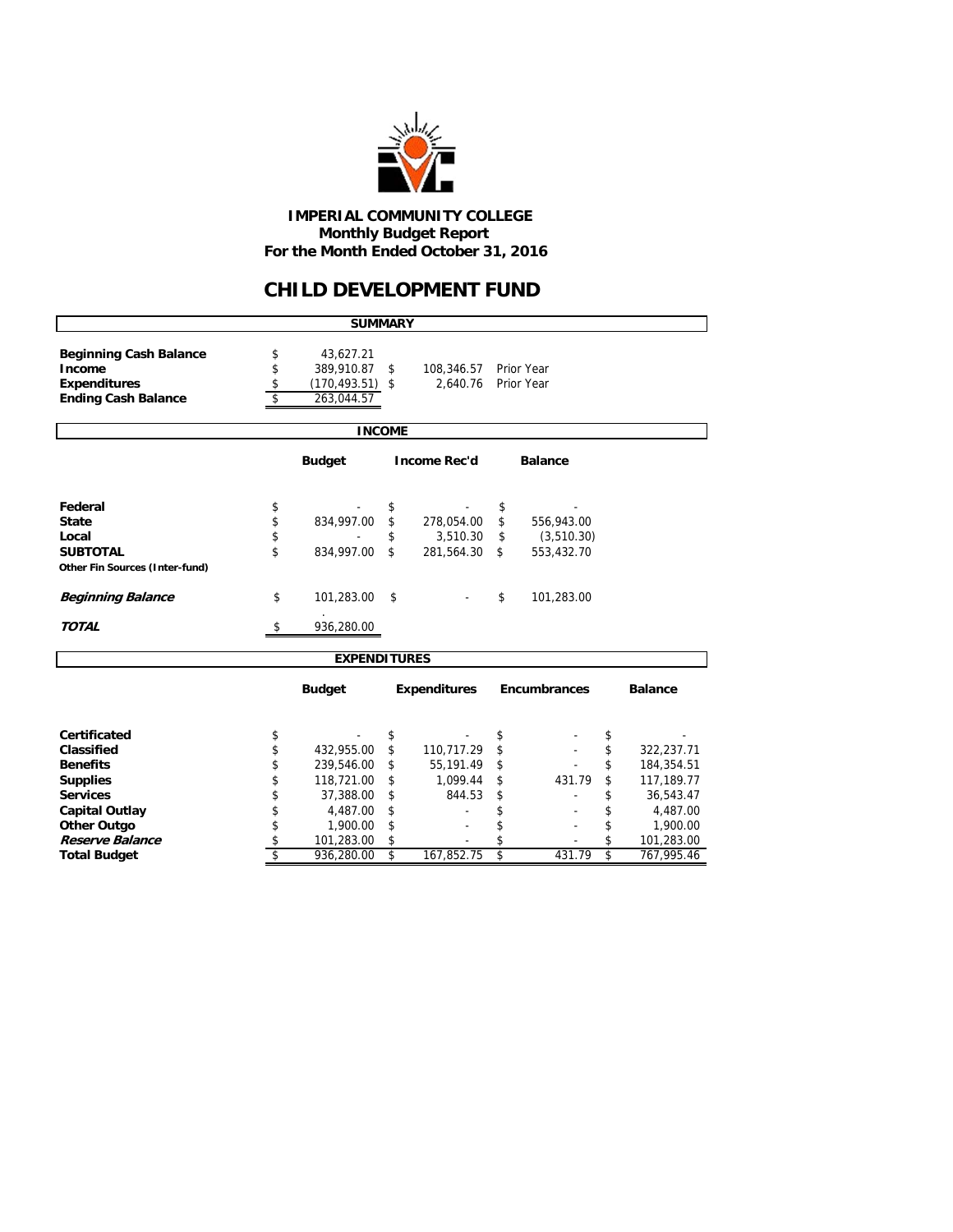

 **IMPERIAL COMMUNITY COLLEGE Monthly Budget Report For the Month Ended October 31, 2016**

### **CHILD DEVELOPMENT FUND**

|                                                                                              |                      | <b>SUMMARY</b>                                              |                      |                                      |                      |                                         |                |                                      |  |  |  |  |
|----------------------------------------------------------------------------------------------|----------------------|-------------------------------------------------------------|----------------------|--------------------------------------|----------------------|-----------------------------------------|----------------|--------------------------------------|--|--|--|--|
| <b>Beginning Cash Balance</b><br>Income<br><b>Expenditures</b><br><b>Ending Cash Balance</b> | \$<br>\$<br>\$<br>\$ | 43,627.21<br>389,910.87<br>$(170, 493.51)$ \$<br>263,044.57 | \$                   | 108,346.57<br>2,640.76               |                      | Prior Year<br>Prior Year                |                |                                      |  |  |  |  |
| <b>INCOME</b>                                                                                |                      |                                                             |                      |                                      |                      |                                         |                |                                      |  |  |  |  |
| <b>Budget</b><br><b>Income Rec'd</b><br><b>Balance</b>                                       |                      |                                                             |                      |                                      |                      |                                         |                |                                      |  |  |  |  |
| Federal<br><b>State</b><br>Local<br><b>SUBTOTAL</b>                                          | \$<br>\$<br>\$<br>\$ | 834,997.00<br>834,997.00                                    | \$<br>\$<br>\$<br>\$ | 278,054.00<br>3,510.30<br>281,564.30 | \$<br>\$<br>\$<br>\$ | 556,943.00<br>(3, 510.30)<br>553,432.70 |                |                                      |  |  |  |  |
| Other Fin Sources (Inter-fund)<br><b>Beginning Balance</b>                                   | \$                   | 101,283.00                                                  | \$                   |                                      | \$                   | 101,283.00                              |                |                                      |  |  |  |  |
| <b>TOTAL</b>                                                                                 | \$                   | 936,280.00                                                  |                      |                                      |                      |                                         |                |                                      |  |  |  |  |
|                                                                                              |                      | <b>EXPENDITURES</b>                                         |                      |                                      |                      |                                         |                |                                      |  |  |  |  |
|                                                                                              |                      | <b>Budget</b>                                               |                      | <b>Expenditures</b>                  |                      | Encumbrances                            |                | <b>Balance</b>                       |  |  |  |  |
| Certificated<br>Classified<br><b>Benefits</b>                                                | \$<br>\$<br>\$       | 432,955.00<br>239,546.00                                    | \$<br>\$<br>\$       | 110,717.29<br>55,191.49              | \$<br>\$<br>\$       |                                         | \$<br>\$<br>\$ | 322,237.71<br>184,354.51             |  |  |  |  |
| <b>Supplies</b><br><b>Services</b><br><b>Capital Outlay</b>                                  | \$<br>\$<br>\$       | 118,721.00<br>37,388.00<br>4,487.00                         | \$<br>\$<br>\$       | 1,099.44<br>844.53                   | \$<br>\$<br>\$       | 431.79                                  | \$<br>\$<br>\$ | 117,189.77<br>36,543.47<br>4,487.00  |  |  |  |  |
| <b>Other Outgo</b><br>Reserve Balance<br><b>Total Budget</b>                                 | \$<br>\$<br>\$       | 1,900.00<br>101,283.00<br>936,280.00                        | \$<br>\$<br>\$       | 167,852.75                           | \$<br>\$<br>\$       | 431.79                                  | \$<br>\$<br>\$ | 1,900.00<br>101,283.00<br>767,995.46 |  |  |  |  |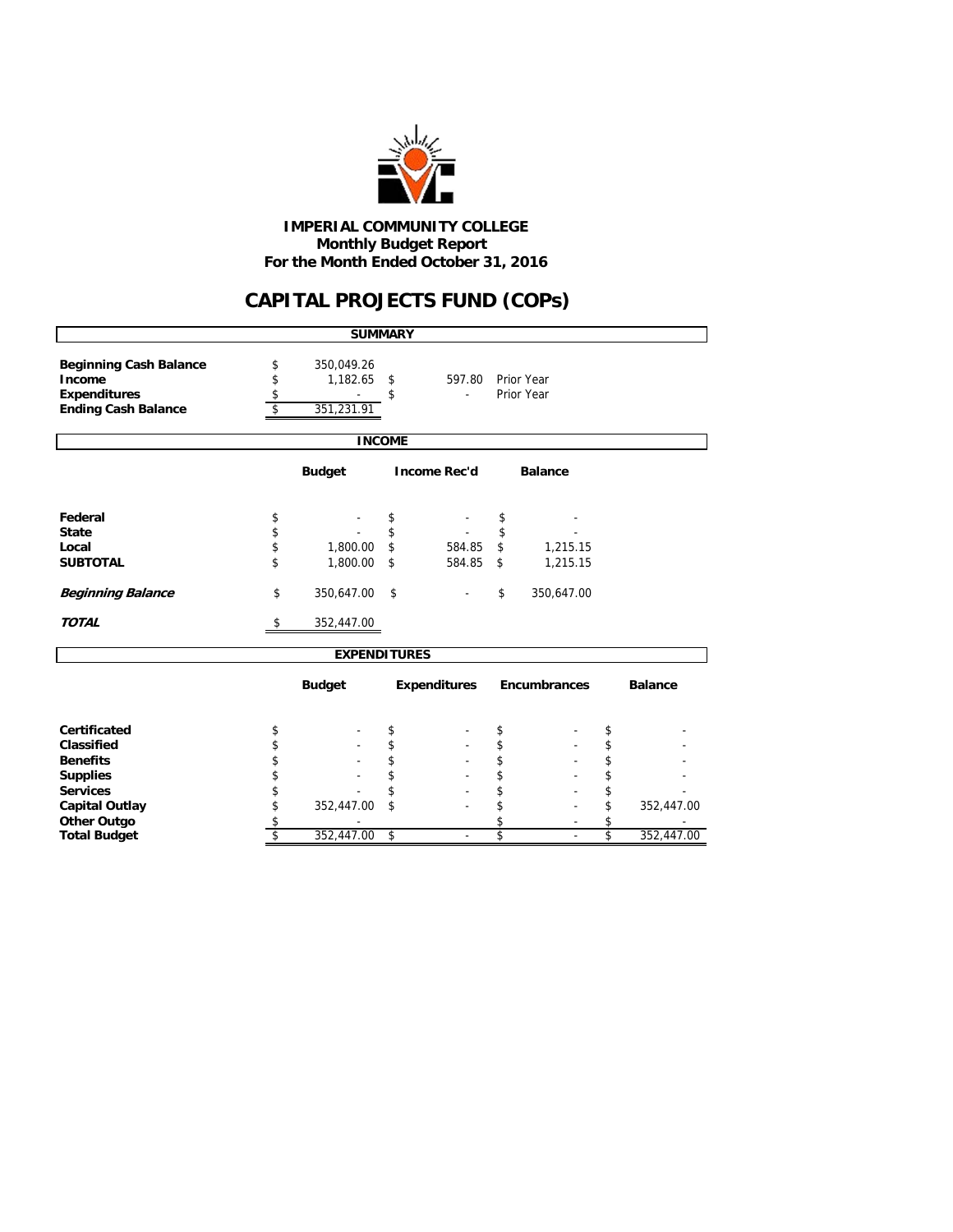

 **Monthly Budget Report For the Month Ended October 31, 2016 IMPERIAL COMMUNITY COLLEGE**

## **CAPITAL PROJECTS FUND (COPs)**

|                                                                                              |                                                                                                               | <b>SUMMARY</b>      |                          |                     |    |                     |                         |                |
|----------------------------------------------------------------------------------------------|---------------------------------------------------------------------------------------------------------------|---------------------|--------------------------|---------------------|----|---------------------|-------------------------|----------------|
| <b>Beginning Cash Balance</b><br>Income<br><b>Expenditures</b><br><b>Ending Cash Balance</b> | 350,049.26<br>\$<br>\$<br>$1,182.65$ \$<br>Prior Year<br>597.80<br>\$<br>Prior Year<br>\$<br>\$<br>351,231.91 |                     |                          |                     |    |                     |                         |                |
|                                                                                              |                                                                                                               | <b>INCOME</b>       |                          |                     |    |                     |                         |                |
|                                                                                              |                                                                                                               | <b>Budget</b>       |                          | <b>Income Rec'd</b> |    | <b>Balance</b>      |                         |                |
| Federal                                                                                      | \$                                                                                                            |                     | \$                       |                     | \$ |                     |                         |                |
| <b>State</b>                                                                                 | \$                                                                                                            |                     | \$                       |                     | \$ |                     |                         |                |
| Local                                                                                        | \$                                                                                                            | 1,800.00            | \$                       | 584.85              | \$ | 1,215.15            |                         |                |
| <b>SUBTOTAL</b>                                                                              | \$                                                                                                            | 1,800.00            | \$                       | 584.85              | \$ | 1,215.15            |                         |                |
| <b>Beginning Balance</b>                                                                     | \$                                                                                                            | 350,647.00          | \$                       |                     | \$ | 350,647.00          |                         |                |
| <b>TOTAL</b>                                                                                 | \$                                                                                                            | 352,447.00          |                          |                     |    |                     |                         |                |
|                                                                                              |                                                                                                               | <b>EXPENDITURES</b> |                          |                     |    |                     |                         |                |
|                                                                                              |                                                                                                               | <b>Budget</b>       |                          | <b>Expenditures</b> |    | <b>Encumbrances</b> |                         | <b>Balance</b> |
| Certificated                                                                                 | \$                                                                                                            |                     | \$                       |                     | \$ |                     | \$                      |                |
| Classified                                                                                   | \$                                                                                                            |                     | \$                       |                     | \$ |                     | \$                      |                |
| <b>Benefits</b>                                                                              | \$                                                                                                            |                     | \$                       |                     | \$ |                     | \$                      |                |
| <b>Supplies</b>                                                                              | \$                                                                                                            |                     | \$                       |                     | \$ |                     | \$                      |                |
| <b>Services</b>                                                                              | \$                                                                                                            |                     | \$                       |                     | \$ |                     | \$                      |                |
| <b>Capital Outlay</b>                                                                        | \$                                                                                                            | 352,447.00          | \$                       |                     | \$ |                     | \$                      | 352,447.00     |
| <b>Other Outgo</b>                                                                           | \$                                                                                                            |                     |                          |                     | \$ |                     | \$                      |                |
| <b>Total Budget</b>                                                                          | \$                                                                                                            | 352,447.00          | $\overline{\mathcal{S}}$ |                     | \$ |                     | $\overline{\mathsf{s}}$ | 352,447.00     |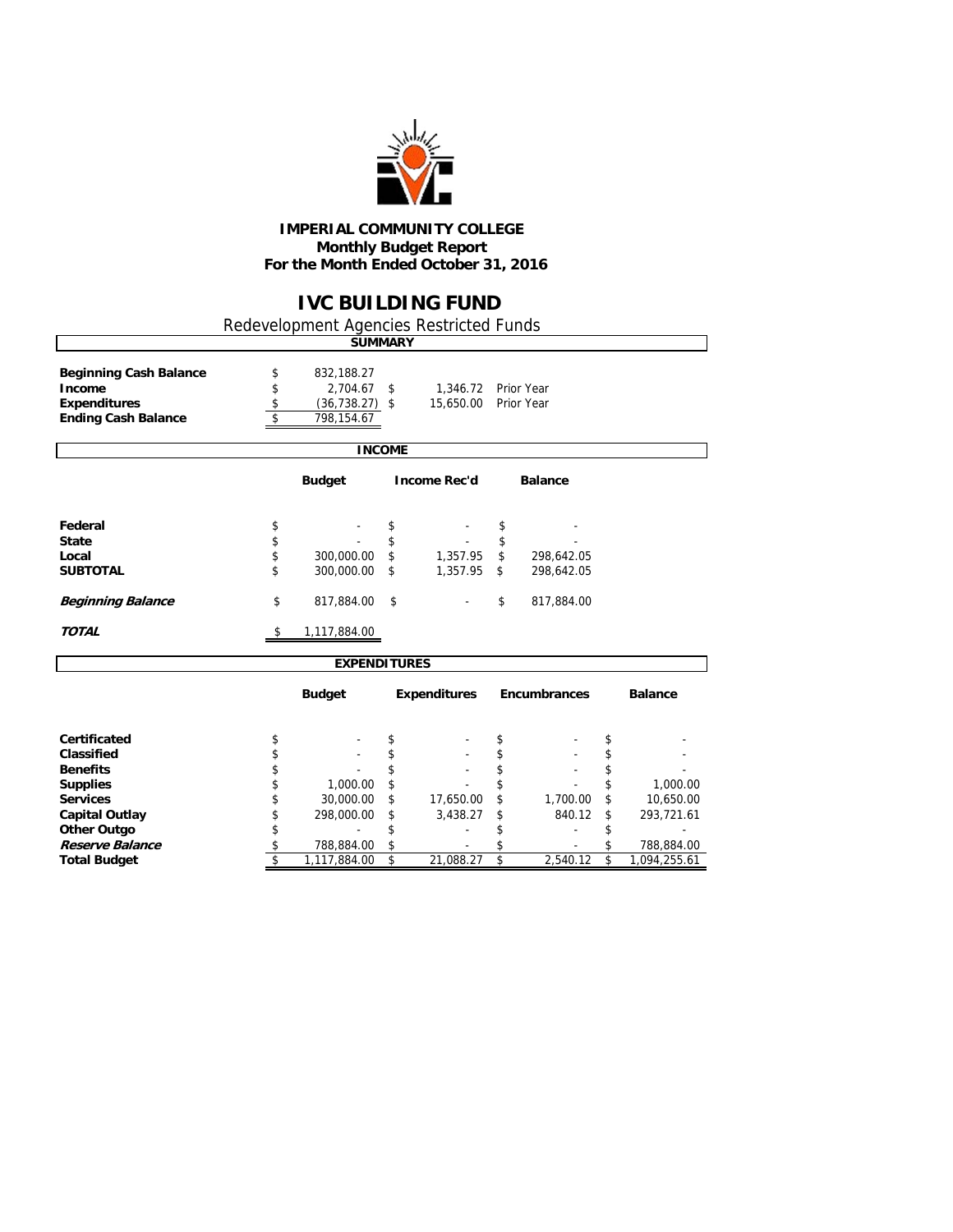

#### **IMPERIAL COMMUNITY COLLEGE Monthly Budget Report For the Month Ended October 31, 2016**

## **IVC BUILDING FUND**

٦

Redevelopment Agencies Restricted Funds

|                                                                                              |                      | <b>SUMMARY</b>                                            |               |                       |                          |                  |
|----------------------------------------------------------------------------------------------|----------------------|-----------------------------------------------------------|---------------|-----------------------|--------------------------|------------------|
| <b>Beginning Cash Balance</b><br>Income<br><b>Expenditures</b><br><b>Ending Cash Balance</b> | \$<br>\$<br>\$<br>\$ | 832,188.27<br>2,704.67<br>$(36, 738.27)$ \$<br>798,154.67 | \$            | 1,346.72<br>15,650.00 | Prior Year<br>Prior Year |                  |
|                                                                                              |                      |                                                           | <b>INCOME</b> |                       |                          |                  |
|                                                                                              |                      | <b>Budget</b>                                             |               | <b>Income Rec'd</b>   | <b>Balance</b>           |                  |
| Federal                                                                                      | \$                   |                                                           | \$            |                       | \$                       |                  |
| <b>State</b>                                                                                 | \$                   |                                                           | \$            |                       | \$                       |                  |
| Local                                                                                        | \$                   | 300,000.00                                                | \$            | 1,357.95              | \$<br>298,642.05         |                  |
| <b>SUBTOTAL</b>                                                                              | \$                   | 300,000.00                                                | \$            | 1,357.95              | \$<br>298,642.05         |                  |
| <b>Beginning Balance</b>                                                                     | \$                   | 817,884.00                                                | \$            |                       | \$<br>817,884.00         |                  |
| <b>TOTAL</b>                                                                                 | \$                   | 1,117,884.00                                              |               |                       |                          |                  |
|                                                                                              |                      | <b>EXPENDITURES</b>                                       |               |                       |                          |                  |
|                                                                                              |                      | <b>Budget</b>                                             |               | <b>Expenditures</b>   | <b>Encumbrances</b>      | <b>Balance</b>   |
| <b>Certificated</b>                                                                          | \$                   |                                                           | \$            |                       | \$                       | \$               |
| Classified                                                                                   | \$                   |                                                           | \$            |                       | \$                       | \$               |
| <b>Benefits</b>                                                                              | \$                   |                                                           | \$            |                       | \$                       | \$               |
| <b>Supplies</b>                                                                              | \$                   | 1,000.00                                                  | \$            |                       | \$                       | \$<br>1,000.00   |
| <b>Services</b>                                                                              | \$                   | 30,000.00                                                 | \$            | 17,650.00             | \$<br>1,700.00           | \$<br>10,650.00  |
| <b>Capital Outlay</b>                                                                        | \$                   | 298,000.00                                                | \$            | 3,438.27              | \$<br>840.12             | \$<br>293,721.61 |
| <b>Other Outgo</b>                                                                           | \$                   |                                                           | \$            |                       | \$                       |                  |
| Reserve Balance                                                                              | \$                   | 788,884.00                                                | \$            |                       | \$                       | \$<br>788,884.00 |

**Total Budget 5 1,117,884.00 \$ 21,088.27 \$ 2,540.12 \$ 1,094,255.61**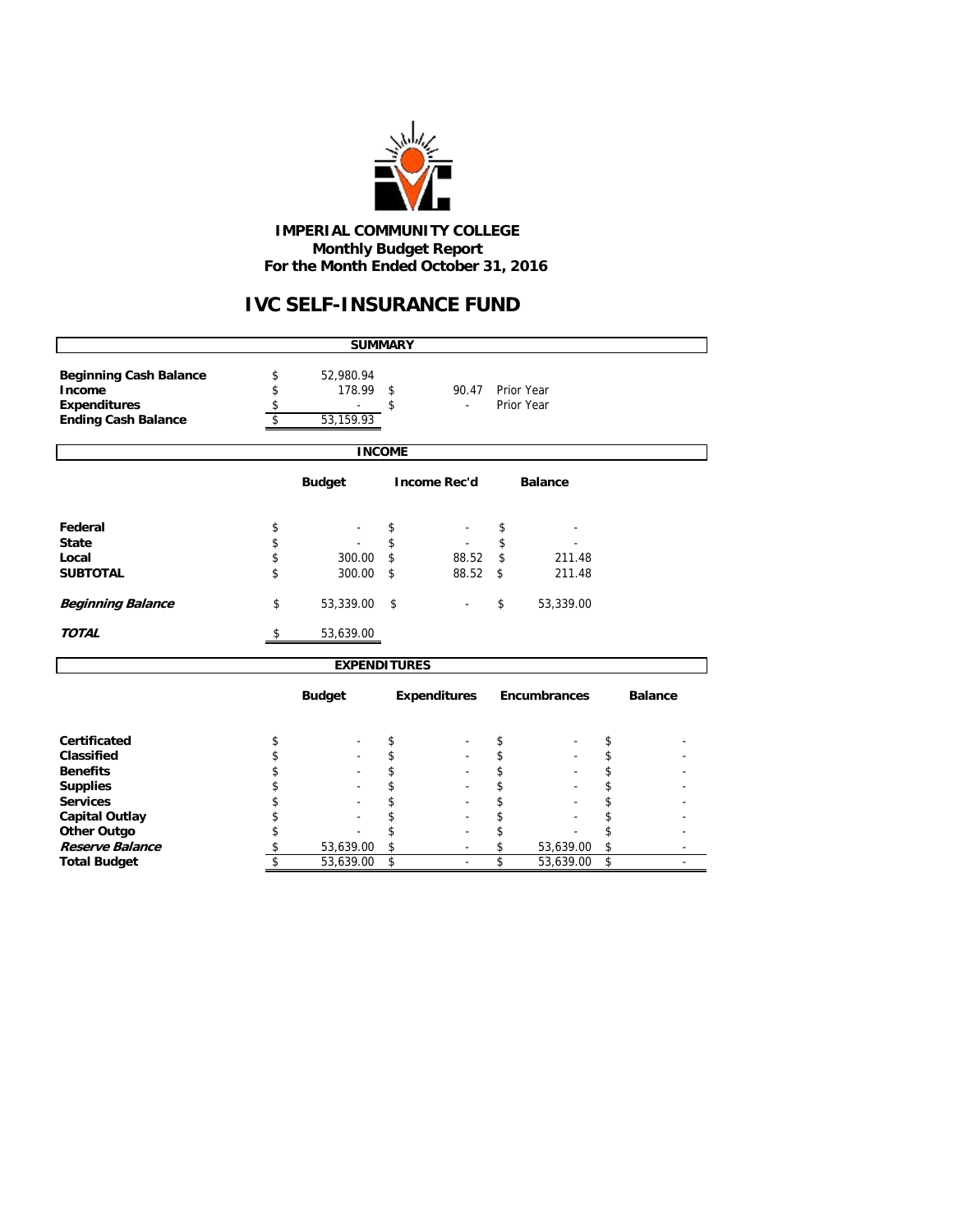

 **IMPERIAL COMMUNITY COLLEGE Monthly Budget Report For the Month Ended October 31, 2016**

# **IVC SELF-INSURANCE FUND**

|                                                                                              |                                                        | <b>SUMMARY</b>                   |               |                     |                          |                     |          |                |  |  |  |  |  |
|----------------------------------------------------------------------------------------------|--------------------------------------------------------|----------------------------------|---------------|---------------------|--------------------------|---------------------|----------|----------------|--|--|--|--|--|
| <b>Beginning Cash Balance</b><br>Income<br><b>Expenditures</b><br><b>Ending Cash Balance</b> | \$<br>\$                                               | 52,980.94<br>178.99<br>53,159.93 | \$<br>\$      | 90.47               | Prior Year<br>Prior Year |                     |          |                |  |  |  |  |  |
|                                                                                              |                                                        |                                  | <b>INCOME</b> |                     |                          |                     |          |                |  |  |  |  |  |
|                                                                                              | <b>Budget</b><br><b>Income Rec'd</b><br><b>Balance</b> |                                  |               |                     |                          |                     |          |                |  |  |  |  |  |
| Federal                                                                                      | \$                                                     |                                  | \$            |                     | \$                       |                     |          |                |  |  |  |  |  |
| <b>State</b><br>Local                                                                        | \$<br>\$                                               | 300.00                           | \$<br>\$      | 88.52               | \$<br>\$                 | 211.48              |          |                |  |  |  |  |  |
| <b>SUBTOTAL</b>                                                                              | \$                                                     | 300.00                           | \$            | 88.52               | \$                       | 211.48              |          |                |  |  |  |  |  |
| <b>Beginning Balance</b>                                                                     | \$                                                     | 53,339.00                        | \$            |                     | \$                       | 53,339.00           |          |                |  |  |  |  |  |
| <b>TOTAL</b>                                                                                 | \$                                                     | 53,639.00                        |               |                     |                          |                     |          |                |  |  |  |  |  |
|                                                                                              |                                                        | <b>EXPENDITURES</b>              |               |                     |                          |                     |          |                |  |  |  |  |  |
|                                                                                              |                                                        | <b>Budget</b>                    |               | <b>Expenditures</b> |                          | <b>Encumbrances</b> |          | <b>Balance</b> |  |  |  |  |  |
| Certificated                                                                                 | \$                                                     |                                  | \$            |                     | \$                       |                     | \$       |                |  |  |  |  |  |
| Classified                                                                                   | \$                                                     |                                  | \$            |                     | \$                       |                     | \$       |                |  |  |  |  |  |
| <b>Benefits</b>                                                                              | \$                                                     |                                  | \$            |                     | \$                       |                     | \$       |                |  |  |  |  |  |
| <b>Supplies</b>                                                                              | \$                                                     |                                  | \$            |                     | \$                       |                     | \$       |                |  |  |  |  |  |
| <b>Services</b>                                                                              | \$                                                     |                                  | \$<br>\$      |                     | \$                       |                     | \$       |                |  |  |  |  |  |
| <b>Capital Outlay</b>                                                                        | \$<br>\$                                               |                                  | \$            |                     | \$<br>\$                 |                     | \$<br>\$ |                |  |  |  |  |  |
| <b>Other Outgo</b><br>Reserve Balance                                                        | \$                                                     | 53,639.00                        | \$            | ٠                   | \$                       | 53,639.00           | \$       |                |  |  |  |  |  |
| <b>Total Budget</b>                                                                          | \$                                                     | 53,639.00                        | \$            | ÷,                  | \$                       | 53,639.00           | \$       | ٠              |  |  |  |  |  |
|                                                                                              |                                                        |                                  |               |                     |                          |                     |          |                |  |  |  |  |  |